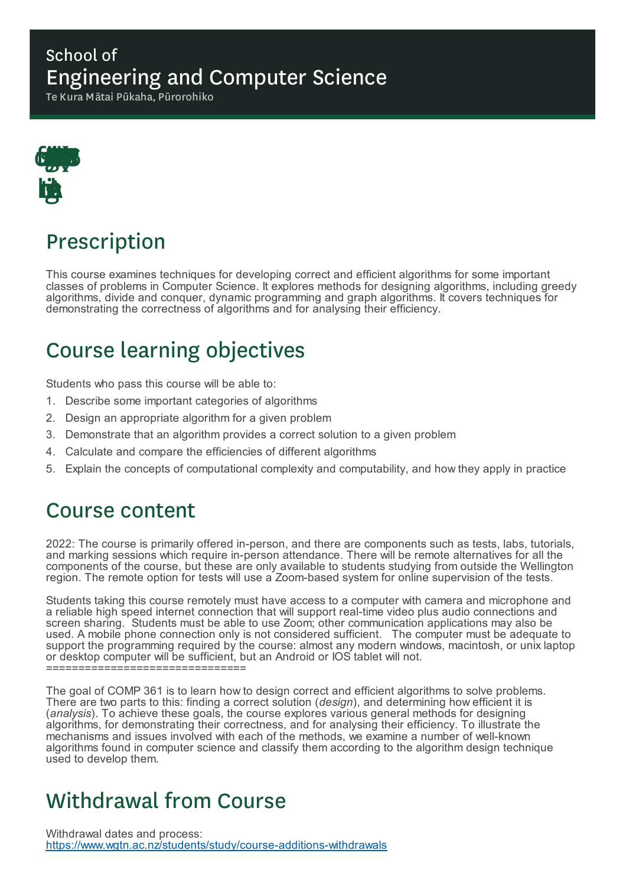#### School of Engineering and Computer Science

Te Kura Mātai Pūkaha, Pūrorohiko



## Prescription

This course examines techniques for developing correct and efficient algorithms for some important classes of problems in Computer Science. It explores methods for designing algorithms, including greedy algorithms, divide and conquer, dynamic programming and graph algorithms. It covers techniques for demonstrating the correctness of algorithms and for analysing their efficiency.

# Course learning objectives

Students who pass this course will be able to:

- 1. Describe some important categories of algorithms
- 2. Design an appropriate algorithm for a given problem
- 3. Demonstrate that an algorithm provides a correct solution to a given problem
- 4. Calculate and compare the efficiencies of different algorithms
- 5. Explain the concepts of computational complexity and computability, and how they apply in practice

### Course content

2022: The course is primarily offered in-person, and there are components such as tests, labs, tutorials, and marking sessions which require in-person attendance. There will be remote alternatives for all the components of the course, but these are only available to students studying from outside the Wellington region. The remote option for tests will use a Zoom-based system for online supervision of the tests.

Students taking this course remotely must have access to a computer with camera and microphone and a reliable high speed internet connection that will support real-time video plus audio connections and screen sharing. Students must be able to use Zoom; other communication applications may also be used. A mobile phone connection only is not considered sufficient. The computer must be adequate to support the programming required by the course: almost any modern windows, macintosh, or unix laptop or desktop computer will be sufficient, but an Android or IOS tablet will not. ==================================

The goal of COMP 361 is to learn how to design correct and efficient algorithms to solve problems. There are two parts to this: finding a correct solution (*design*), and determining how efficient it is (*analysis*). To achieve these goals, the course explores various general methods for designing algorithms, for demonstrating their correctness, and for analysing their efficiency. To illustrate the mechanisms and issues involved with each of the methods, we examine a number of well-known algorithms found in computer science and classify them according to the algorithm design technique used to develop them.

### Withdrawal from Course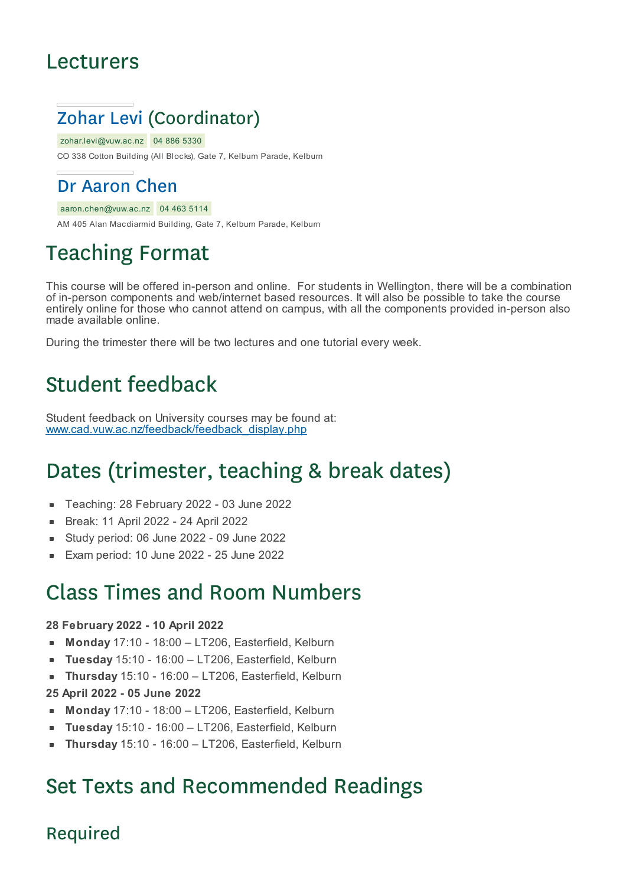### Lecturers



zohar.levi@vuw.ac.nz 04 886 5330

CO 338 Cotton Building (All Blocks), Gate 7, Kelburn Parade, Kelburn

### Dr Aaron Chen

aaron.chen@vuw.ac.nz 04 463 5114

AM 405 Alan Macdiarmid Building, Gate 7, Kelburn Parade, Kelburn

# Teaching Format

This course will be offered in-person and online. For students in Wellington, there will be a combination of in-person components and web/internet based resources. It will also be possible to take the course entirely online for those who cannot attend on campus, with all the components provided in-person also made available online.

During the trimester there will be two lectures and one tutorial every week.

### Student feedback

Student feedback on University courses may be found at: www.cad.vuw.ac.nz/feedback/feedback\_display.php

### Dates (trimester, teaching & break dates)

- Teaching: 28 February 2022 03 June 2022
- Break: 11 April 2022 24 April 2022  $\blacksquare$
- Study period: 06 June 2022 09 June 2022  $\blacksquare$
- Exam period: 10 June 2022 25 June 2022

### Class Times and Room Numbers

#### **28 February 2022 - 10 April 2022**

- **Monday** 17:10 18:00 LT206, Easterfield, Kelburn
- **Tuesday** 15:10 16:00 LT206, Easterfield, Kelburn  $\blacksquare$
- **Thursday** 15:10 16:00 LT206, Easterfield, Kelburn
- **25 April 2022 - 05 June 2022**
- **Monday** 17:10 18:00 LT206, Easterfield, Kelburn
- **Tuesday** 15:10 16:00 LT206, Easterfield, Kelburn  $\blacksquare$
- **Thursday** 15:10 16:00 LT206, Easterfield, Kelburn

### Set Texts and Recommended Readings

#### Required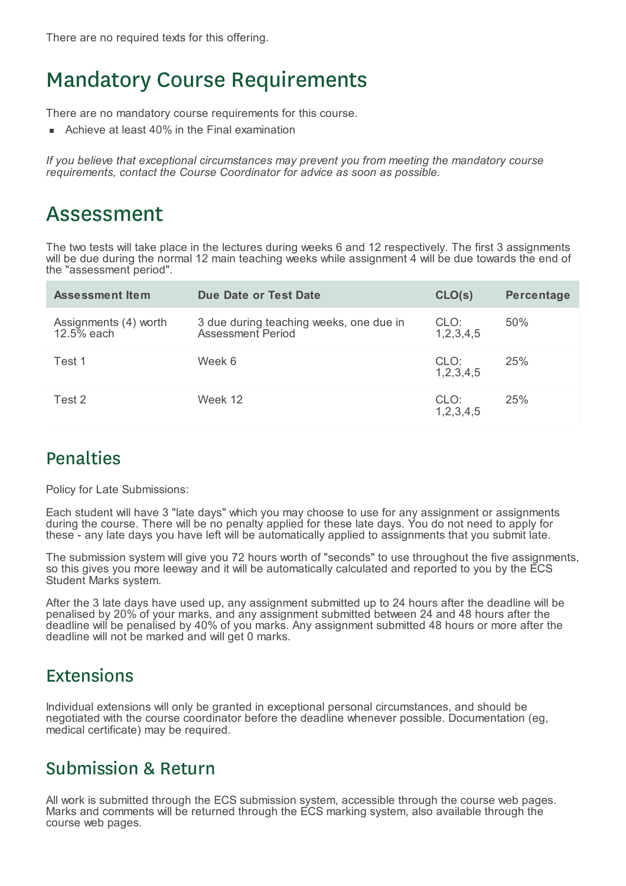### Mandatory Course Requirements

There are no mandatory course requirements for this course.

Achieve at least 40% in the Final examination

*If you believe that exceptional circumstances may prevent you from meeting the mandatory course requirements, contact the Course Coordinator for advice as soon as possible.*

### Assessment

The two tests will take place in the lectures during weeks 6 and 12 respectively. The first 3 assignments will be due during the normal 12 main teaching weeks while assignment 4 will be due towards the end of the "assessment period".

| <b>Assessment Item</b>              | Due Date or Test Date                                        | CLO(s)                | Percentage |
|-------------------------------------|--------------------------------------------------------------|-----------------------|------------|
| Assignments (4) worth<br>12.5% each | 3 due during teaching weeks, one due in<br>Assessment Period | CLO:<br>1, 2, 3, 4, 5 | 50%        |
| Test 1                              | Week 6                                                       | CLO:<br>1, 2, 3, 4, 5 | 25%        |
| Test 2                              | Week 12                                                      | CLO:<br>1, 2, 3, 4, 5 | 25%        |

#### Penalties

Policy for Late Submissions:

Each student will have 3 "late days" which you may choose to use for any assignment or assignments during the course. There will be no penalty applied for these late days. You do not need to apply for these - any late days you have left will be automatically applied to assignments that you submit late.

The submission system will give you 72 hours worth of "seconds" to use throughout the five assignments, so this gives you more leeway and it will be automatically calculated and reported to you by the ECS Student Marks system.

After the 3 late days have used up, any assignment submitted up to 24 hours after the deadline will be penalised by 20% of your marks, and any assignment submitted between 24 and 48 hours after the deadline will be penalised by 40% of you marks. Any assignment submitted 48 hours or more after the deadline will not be marked and will get 0 marks.

#### Extensions

Individual extensions will only be granted in exceptional personal circumstances, and should be negotiated with the course coordinator before the deadline whenever possible. Documentation (eg, medical certificate) may be required.

#### Submission & Return

All work is submitted through the ECS submission system, accessible through the course web pages. Marks and comments will be returned through the ECS marking system, also available through the course web pages.